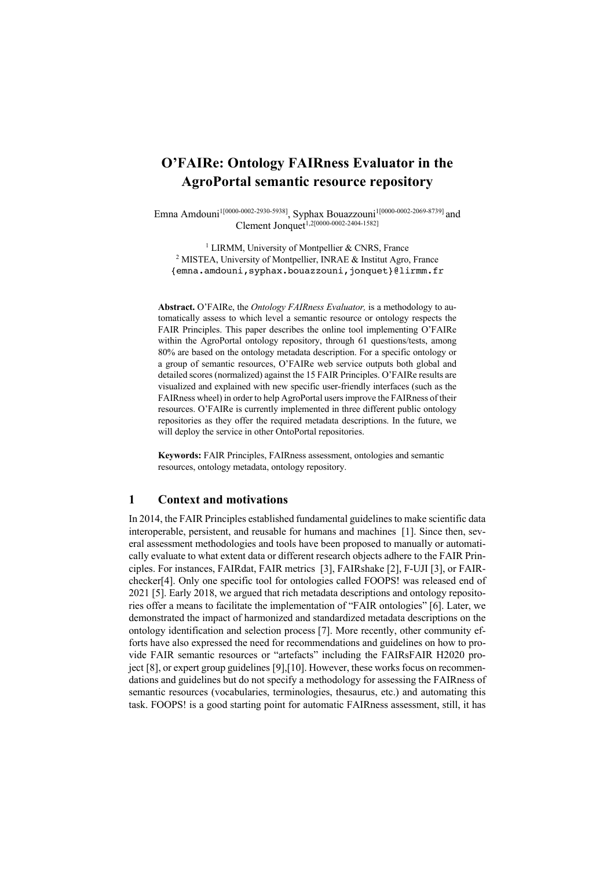# **O'FAIRe: Ontology FAIRness Evaluator in the AgroPortal semantic resource repository**

Emna Amdouni1[0000-0002-2930-5938] , Syphax Bouazzouni1[0000-0002-2069-8739] and Clement Jonquet<sup>1,2[0000-0002-2404-1582]</sup>

<sup>1</sup> LIRMM, University of Montpellier & CNRS, France <sup>2</sup> MISTEA, University of Montpellier, INRAE & Institut Agro, France {emna.amdouni,syphax.bouazzouni,jonquet}@lirmm.fr

**Abstract.** O'FAIRe, the *Ontology FAIRness Evaluator,* is a methodology to automatically assess to which level a semantic resource or ontology respects the FAIR Principles. This paper describes the online tool implementing O'FAIRe within the AgroPortal ontology repository, through 61 questions/tests, among 80% are based on the ontology metadata description. For a specific ontology or a group of semantic resources, O'FAIRe web service outputs both global and detailed scores (normalized) against the 15 FAIR Principles. O'FAIRe results are visualized and explained with new specific user-friendly interfaces (such as the FAIRness wheel) in order to help AgroPortal users improve the FAIRness of their resources. O'FAIRe is currently implemented in three different public ontology repositories as they offer the required metadata descriptions. In the future, we will deploy the service in other OntoPortal repositories.

**Keywords:** FAIR Principles, FAIRness assessment, ontologies and semantic resources, ontology metadata, ontology repository.

### **1 Context and motivations**

In 2014, the FAIR Principles established fundamental guidelines to make scientific data interoperable, persistent, and reusable for humans and machines [1]. Since then, several assessment methodologies and tools have been proposed to manually or automatically evaluate to what extent data or different research objects adhere to the FAIR Principles. For instances, FAIRdat, FAIR metrics [3], FAIRshake [2], F-UJI [3], or FAIRchecker[4]. Only one specific tool for ontologies called FOOPS! was released end of 2021 [5]. Early 2018, we argued that rich metadata descriptions and ontology repositories offer a means to facilitate the implementation of "FAIR ontologies" [6]. Later, we demonstrated the impact of harmonized and standardized metadata descriptions on the ontology identification and selection process [7]. More recently, other community efforts have also expressed the need for recommendations and guidelines on how to provide FAIR semantic resources or "artefacts" including the FAIRsFAIR H2020 project [8], or expert group guidelines [9],[10]. However, these works focus on recommendations and guidelines but do not specify a methodology for assessing the FAIRness of semantic resources (vocabularies, terminologies, thesaurus, etc.) and automating this task. FOOPS! is a good starting point for automatic FAIRness assessment, still, it has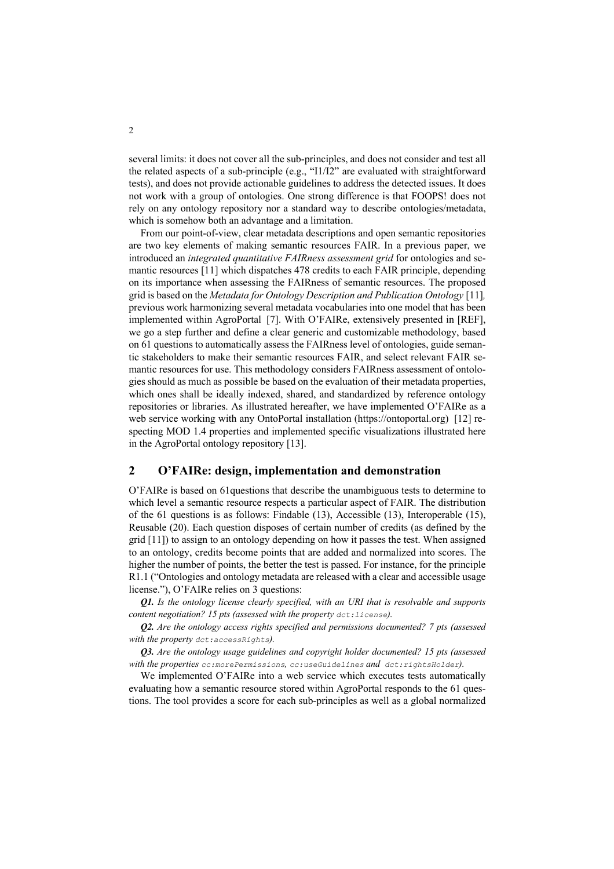several limits: it does not cover all the sub-principles, and does not consider and test all the related aspects of a sub-principle (e.g., "I1/I2" are evaluated with straightforward tests), and does not provide actionable guidelines to address the detected issues. It does not work with a group of ontologies. One strong difference is that FOOPS! does not rely on any ontology repository nor a standard way to describe ontologies/metadata, which is somehow both an advantage and a limitation.

From our point-of-view, clear metadata descriptions and open semantic repositories are two key elements of making semantic resources FAIR. In a previous paper, we introduced an *integrated quantitative FAIRness assessment grid* for ontologies and semantic resources [11] which dispatches 478 credits to each FAIR principle, depending on its importance when assessing the FAIRness of semantic resources. The proposed grid is based on the *Metadata for Ontology Description and Publication Ontology* [11]*,* previous work harmonizing several metadata vocabularies into one model that has been implemented within AgroPortal [7]. With O'FAIRe, extensively presented in [REF], we go a step further and define a clear generic and customizable methodology, based on 61 questions to automatically assess the FAIRness level of ontologies, guide semantic stakeholders to make their semantic resources FAIR, and select relevant FAIR semantic resources for use. This methodology considers FAIRness assessment of ontologies should as much as possible be based on the evaluation of their metadata properties, which ones shall be ideally indexed, shared, and standardized by reference ontology repositories or libraries. As illustrated hereafter, we have implemented O'FAIRe as a web service working with any OntoPortal installation (https://ontoportal.org) [12] respecting MOD 1.4 properties and implemented specific visualizations illustrated here in the AgroPortal ontology repository [13].

## **2 O'FAIRe: design, implementation and demonstration**

O'FAIRe is based on 61questions that describe the unambiguous tests to determine to which level a semantic resource respects a particular aspect of FAIR. The distribution of the 61 questions is as follows: Findable (13), Accessible (13), Interoperable (15), Reusable (20). Each question disposes of certain number of credits (as defined by the grid [11]) to assign to an ontology depending on how it passes the test. When assigned to an ontology, credits become points that are added and normalized into scores. The higher the number of points, the better the test is passed. For instance, for the principle R1.1 ("Ontologies and ontology metadata are released with a clear and accessible usage license."), O'FAIRe relies on 3 questions:

*Q1. Is the ontology license clearly specified, with an URI that is resolvable and supports content negotiation? 15 pts (assessed with the property*  $det: \text{license}$ *).* 

*Q2. Are the ontology access rights specified and permissions documented? 7 pts (assessed with the property dct:accessRights).*

*Q3. Are the ontology usage guidelines and copyright holder documented? 15 pts (assessed with the properties cc:morePermissions, cc:useGuidelines and dct:rightsHolder).*

We implemented O'FAIRe into a web service which executes tests automatically evaluating how a semantic resource stored within AgroPortal responds to the 61 questions. The tool provides a score for each sub-principles as well as a global normalized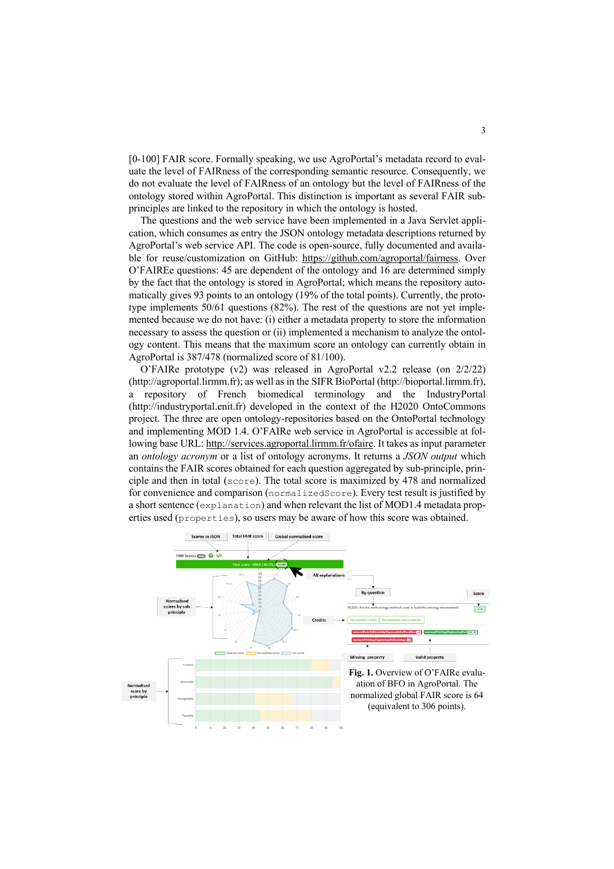[0-100] FAIR score. Formally speaking, we use AgroPortal's metadata record to evaluate the level of FAIRness of the corresponding semantic resource. Consequently, we do not evaluate the level of FAIRness of an ontology but the level of FAIRness of the ontology stored within AgroPortal. This distinction is important as several FAIR subprinciples are linked to the repository in which the ontology is hosted.

The questions and the web service have been implemented in a Java Servlet application, which consumes as entry the JSON ontology metadata descriptions returned by AgroPortal's web service API. The code is open-source, fully documented and available for reuse/customization on GitHub: https://github.com/agroportal/fairness. Over O'FAIREe questions: 45 are dependent of the ontology and 16 are determined simply by the fact that the ontology is stored in AgroPortal; which means the repository automatically gives 93 points to an ontology (19% of the total points). Currently, the prototype implements 50/61 questions (82%). The rest of the questions are not yet implemented because we do not have: (i) either a metadata property to store the information necessary to assess the question or (ii) implemented a mechanism to analyze the ontology content. This means that the maximum score an ontology can currently obtain in AgroPortal is 387/478 (normalized score of 81/100).

O'FAIRe prototype  $(v2)$  was released in AgroPortal v2.2 release (on  $2/2/22$ ) (http://agroportal.lirmm.fr); as well as in the SIFR BioPortal (http://bioportal.lirmm.fr), a repository of French biomedical terminology and the IndustryPortal (http://industryportal.enit.fr) developed in the context of the H2020 OntoCommons project. The three are open ontology-repositories based on the OntoPortal technology and implementing MOD 1.4. O'FAIRe web service in AgroPortal is accessible at following base URL: http://services.agroportal.lirmm.fr/ofaire. It takes as input parameter an *ontology acronym* or a list of ontology acronyms. It returns a *JSON output* which contains the FAIR scores obtained for each question aggregated by sub-principle, principle and then in total (score). The total score is maximized by 478 and normalized for convenience and comparison (normalizedScore). Every test result is justified by a short sentence (explanation) and when relevant the list of MOD1.4 metadata properties used (properties), so users may be aware of how this score was obtained.

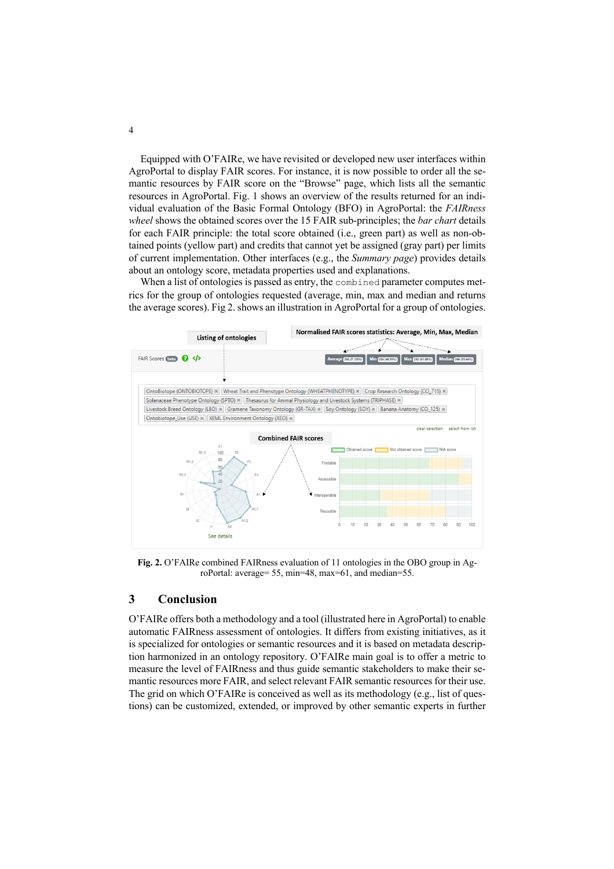Equipped with O'FAIRe, we have revisited or developed new user interfaces within AgroPortal to display FAIR scores. For instance, it is now possible to order all the semantic resources by FAIR score on the "Browse" page, which lists all the semantic resources in AgroPortal. Fig. 1 shows an overview of the results returned for an individual evaluation of the Basic Formal Ontology (BFO) in AgroPortal: the *FAIRness wheel* shows the obtained scores over the 15 FAIR sub-principles; the *bar chart* details for each FAIR principle: the total score obtained (i.e., green part) as well as non-obtained points (yellow part) and credits that cannot yet be assigned (gray part) per limits of current implementation. Other interfaces (e.g., the *Summary page*) provides details about an ontology score, metadata properties used and explanations.

When a list of ontologies is passed as entry, the combined parameter computes metrics for the group of ontologies requested (average, min, max and median and returns the average scores). Fig 2. shows an illustration in AgroPortal for a group of ontologies.



**Fig. 2.** O'FAIRe combined FAIRness evaluation of 11 ontologies in the OBO group in AgroPortal: average= 55, min=48, max=61, and median=55.

#### **3 Conclusion**

O'FAIRe offers both a methodology and a tool (illustrated here in AgroPortal) to enable automatic FAIRness assessment of ontologies. It differs from existing initiatives, as it is specialized for ontologies or semantic resources and it is based on metadata description harmonized in an ontology repository. O'FAIRe main goal is to offer a metric to measure the level of FAIRness and thus guide semantic stakeholders to make their semantic resources more FAIR, and select relevant FAIR semantic resources for their use. The grid on which O'FAIRe is conceived as well as its methodology (e.g., list of questions) can be customized, extended, or improved by other semantic experts in further

4